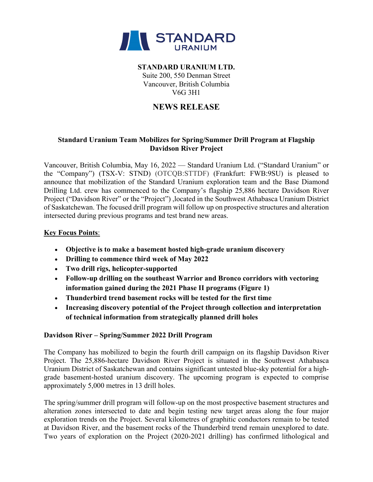

**STANDARD URANIUM LTD.** 

Suite 200, 550 Denman Street Vancouver, British Columbia V6G 3H1

# **NEWS RELEASE**

# **Standard Uranium Team Mobilizes for Spring/Summer Drill Program at Flagship Davidson River Project**

Vancouver, British Columbia, May 16, 2022 — Standard Uranium Ltd. ("Standard Uranium" or the "Company") (TSX-V: STND) (OTCQB:STTDF) (Frankfurt: FWB:9SU) is pleased to announce that mobilization of the Standard Uranium exploration team and the Base Diamond Drilling Ltd. crew has commenced to the Company's flagship 25,886 hectare Davidson River Project ("Davidson River" or the "Project") ,located in the Southwest Athabasca Uranium District of Saskatchewan. The focused drill program will follow up on prospective structures and alteration intersected during previous programs and test brand new areas.

# **Key Focus Points**:

- **Objective is to make a basement hosted high-grade uranium discovery**
- **Drilling to commence third week of May 2022**
- **Two drill rigs, helicopter-supported**
- **Follow-up drilling on the southeast Warrior and Bronco corridors with vectoring information gained during the 2021 Phase II programs (Figure 1)**
- **Thunderbird trend basement rocks will be tested for the first time**
- **Increasing discovery potential of the Project through collection and interpretation of technical information from strategically planned drill holes**

# **Davidson River – Spring/Summer 2022 Drill Program**

The Company has mobilized to begin the fourth drill campaign on its flagship Davidson River Project. The 25,886-hectare Davidson River Project is situated in the Southwest Athabasca Uranium District of Saskatchewan and contains significant untested blue-sky potential for a highgrade basement-hosted uranium discovery. The upcoming program is expected to comprise approximately 5,000 metres in 13 drill holes.

The spring/summer drill program will follow-up on the most prospective basement structures and alteration zones intersected to date and begin testing new target areas along the four major exploration trends on the Project. Several kilometres of graphitic conductors remain to be tested at Davidson River, and the basement rocks of the Thunderbird trend remain unexplored to date. Two years of exploration on the Project (2020-2021 drilling) has confirmed lithological and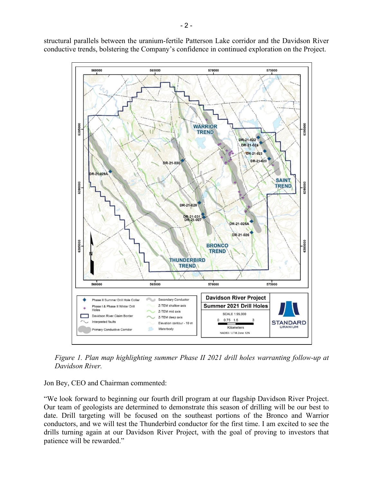

structural parallels between the uranium-fertile Patterson Lake corridor and the Davidson River conductive trends, bolstering the Company's confidence in continued exploration on the Project.

*Figure 1. Plan map highlighting summer Phase II 2021 drill holes warranting follow-up at Davidson River.* 

Jon Bey, CEO and Chairman commented:

"We look forward to beginning our fourth drill program at our flagship Davidson River Project. Our team of geologists are determined to demonstrate this season of drilling will be our best to date. Drill targeting will be focused on the southeast portions of the Bronco and Warrior conductors, and we will test the Thunderbird conductor for the first time. I am excited to see the drills turning again at our Davidson River Project, with the goal of proving to investors that patience will be rewarded."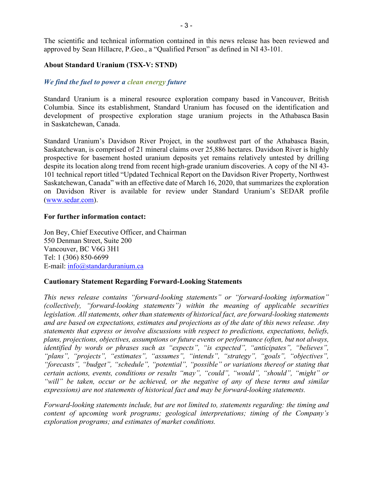The scientific and technical information contained in this news release has been reviewed and approved by Sean Hillacre, P.Geo., a "Qualified Person" as defined in NI 43-101.

## **About Standard Uranium (TSX-V: STND)**

## *We find the fuel to power a clean energy future*

Standard Uranium is a mineral resource exploration company based in Vancouver, British Columbia. Since its establishment, Standard Uranium has focused on the identification and development of prospective exploration stage uranium projects in the Athabasca Basin in Saskatchewan, Canada.

Standard Uranium's Davidson River Project, in the southwest part of the Athabasca Basin, Saskatchewan, is comprised of 21 mineral claims over 25,886 hectares. Davidson River is highly prospective for basement hosted uranium deposits yet remains relatively untested by drilling despite its location along trend from recent high-grade uranium discoveries. A copy of the NI 43- 101 technical report titled "Updated Technical Report on the Davidson River Property, Northwest Saskatchewan, Canada" with an effective date of March 16, 2020, that summarizes the exploration on Davidson River is available for review under Standard Uranium's SEDAR profile (www.sedar.com).

#### **For further information contact:**

Jon Bey, Chief Executive Officer, and Chairman 550 Denman Street, Suite 200 Vancouver, BC V6G 3H1 Tel: 1 (306) 850-6699 E-mail: info@standarduranium.ca

#### **Cautionary Statement Regarding Forward-Looking Statements**

*This news release contains "forward-looking statements" or "forward-looking information" (collectively, "forward-looking statements") within the meaning of applicable securities legislation. All statements, other than statements of historical fact, are forward-looking statements and are based on expectations, estimates and projections as of the date of this news release. Any statements that express or involve discussions with respect to predictions, expectations, beliefs, plans, projections, objectives, assumptions or future events or performance (often, but not always, identified by words or phrases such as "expects", "is expected", "anticipates", "believes", "plans", "projects", "estimates", "assumes", "intends", "strategy", "goals", "objectives", "forecasts", "budget", "schedule", "potential", "possible" or variations thereof or stating that certain actions, events, conditions or results "may", "could", "would", "should", "might" or "will" be taken, occur or be achieved, or the negative of any of these terms and similar expressions) are not statements of historical fact and may be forward-looking statements.* 

*Forward-looking statements include, but are not limited to, statements regarding: the timing and content of upcoming work programs; geological interpretations; timing of the Company's exploration programs; and estimates of market conditions.*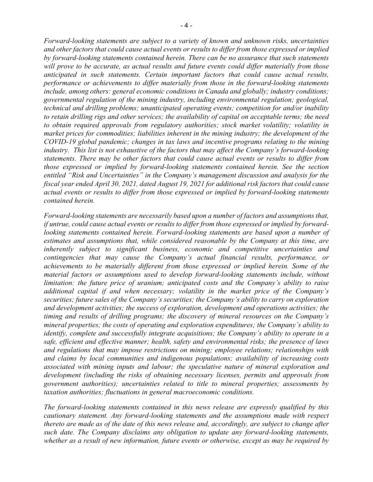*Forward-looking statements are subject to a variety of known and unknown risks, uncertainties and other factors that could cause actual events or results to differ from those expressed or implied by forward-looking statements contained herein. There can be no assurance that such statements will prove to be accurate, as actual results and future events could differ materially from those anticipated in such statements. Certain important factors that could cause actual results, performance or achievements to differ materially from those in the forward-looking statements include, among others: general economic conditions in Canada and globally; industry conditions; governmental regulation of the mining industry, including environmental regulation; geological, technical and drilling problems; unanticipated operating events; competition for and/or inability to retain drilling rigs and other services; the availability of capital on acceptable terms; the need to obtain required approvals from regulatory authorities; stock market volatility; volatility in market prices for commodities; liabilities inherent in the mining industry; the development of the COVID-19 global pandemic; changes in tax laws and incentive programs relating to the mining industry. This list is not exhaustive of the factors that may affect the Company's forward-looking statements. There may be other factors that could cause actual events or results to differ from those expressed or implied by forward-looking statements contained herein. See the section entitled "Risk and Uncertainties" in the Company's management discussion and analysis for the fiscal year ended April 30, 2021, dated August 19, 2021 for additional risk factors that could cause actual events or results to differ from those expressed or implied by forward-looking statements contained herein.* 

*Forward-looking statements are necessarily based upon a number of factors and assumptions that, if untrue, could cause actual events or results to differ from those expressed or implied by forwardlooking statements contained herein. Forward-looking statements are based upon a number of estimates and assumptions that, while considered reasonable by the Company at this time, are inherently subject to significant business, economic and competitive uncertainties and contingencies that may cause the Company's actual financial results, performance, or achievements to be materially different from those expressed or implied herein. Some of the material factors or assumptions used to develop forward-looking statements include, without limitation: the future price of uranium; anticipated costs and the Company's ability to raise additional capital if and when necessary; volatility in the market price of the Company's securities; future sales of the Company's securities; the Company's ability to carry on exploration and development activities; the success of exploration, development and operations activities; the timing and results of drilling programs; the discovery of mineral resources on the Company's mineral properties; the costs of operating and exploration expenditures; the Company's ability to identify, complete and successfully integrate acquisitions; the Company's ability to operate in a safe, efficient and effective manner; health, safety and environmental risks; the presence of laws and regulations that may impose restrictions on mining; employee relations; relationships with and claims by local communities and indigenous populations; availability of increasing costs associated with mining inputs and labour; the speculative nature of mineral exploration and development (including the risks of obtaining necessary licenses, permits and approvals from government authorities); uncertainties related to title to mineral properties; assessments by taxation authorities; fluctuations in general macroeconomic conditions.* 

*The forward-looking statements contained in this news release are expressly qualified by this cautionary statement. Any forward-looking statements and the assumptions made with respect thereto are made as of the date of this news release and, accordingly, are subject to change after such date. The Company disclaims any obligation to update any forward-looking statements, whether as a result of new information, future events or otherwise, except as may be required by*